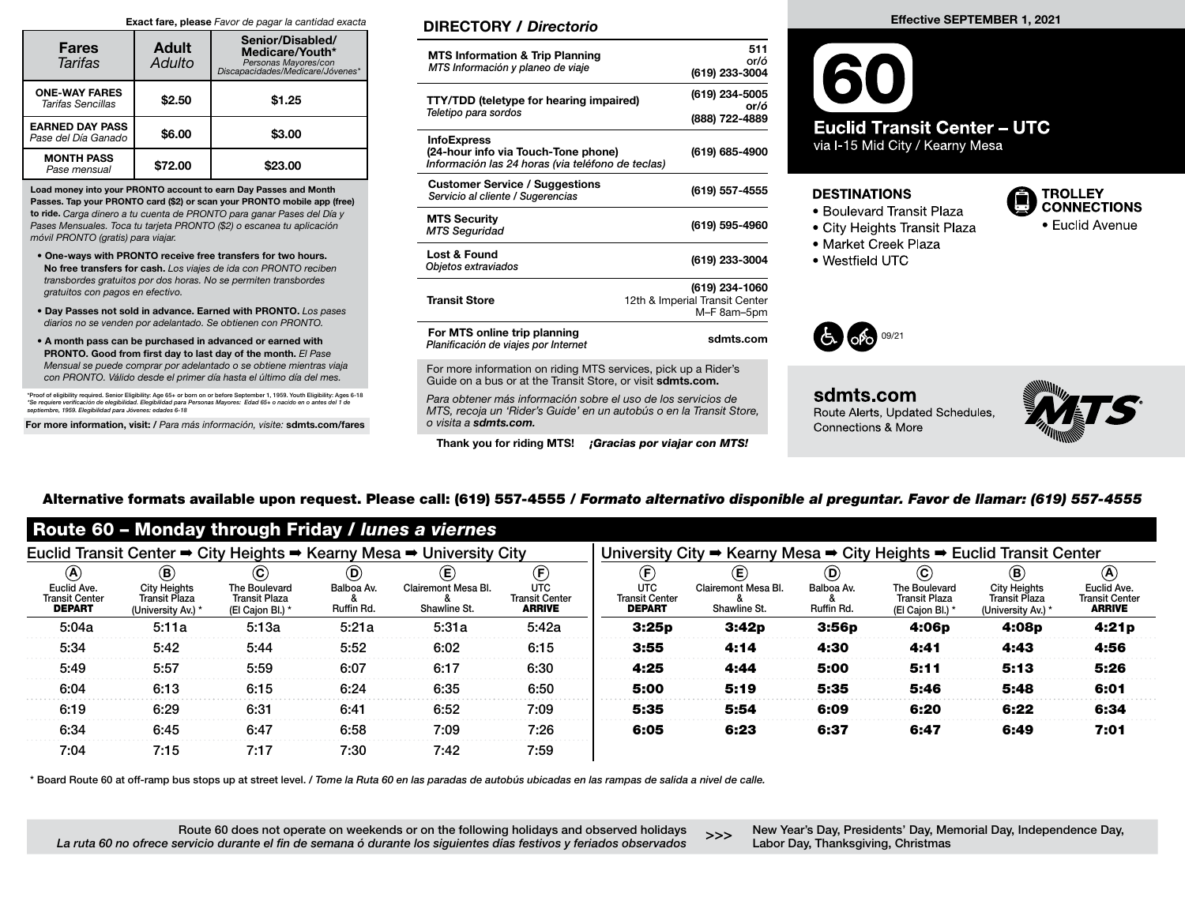#### Exact fare, please Favor de pagar la cantidad exacta

| <b>Fares</b><br>Tarifas                       | <b>Adult</b><br>Adulto | Senior/Disabled/<br>Medicare/Youth*<br>Personas Mayores/con<br>Discapacidades/Medicare/Jóvenes* |  |  |  |
|-----------------------------------------------|------------------------|-------------------------------------------------------------------------------------------------|--|--|--|
| <b>ONE-WAY FARES</b><br>Tarifas Sencillas     | \$2.50                 | \$1.25                                                                                          |  |  |  |
| <b>EARNED DAY PASS</b><br>Pase del Día Ganado | \$6.00                 | \$3.00                                                                                          |  |  |  |
| <b>MONTH PASS</b><br>Pase mensual             | \$72.00                | \$23.00                                                                                         |  |  |  |

Load money into your PRONTO account to earn Day Passes and Month Passes. Tap your PRONTO card (\$2) or scan your PRONTO mobile app (free) to ride. Carga dinero a tu cuenta de PRONTO para ganar Pases del Día y Pases Mensuales. Toca tu tarjeta PRONTO (\$2) o escanea tu aplicación móvil PRONTO (gratis) para viajar.

- One-ways with PRONTO receive free transfers for two hours. No free transfers for cash. Los viajes de ida con PRONTO reciben transbordes gratuitos por dos horas. No se permiten transbordes gratuitos con pagos en efectivo.
- Day Passes not sold in advance. Earned with PRONTO. Los pases diarios no se venden por adelantado. Se obtienen con PRONTO.
- A month pass can be purchased in advanced or earned with PRONTO. Good from first day to last day of the month. El Pase Mensual se puede comprar por adelantado o se obtiene mientras viaja con PRONTO. Válido desde el primer día hasta el último día del mes.

\*Proof of eligibility required. Senior Eligibility: Age 65+ or born on or before September 1, 1959. Youth Eligibility: Ages 6-18 \*Se requiere verificación de elegibilidad. Elegibilidad para Personas Mayores: Edad 65+ o nacido en o antes del 1 de<br>septiembre, 1959. Elegibilidad para Jóvenes: edades 6-18

For more information, visit: / Para más información, visite: sdmts.com/fares

## DIRECTORY / Directorio

| <b>MTS Information &amp; Trip Planning</b><br>MTS Información y planeo de viaje                                | 511<br>or/ó<br>(619) 233-3004                                   |
|----------------------------------------------------------------------------------------------------------------|-----------------------------------------------------------------|
| <b>TTY/TDD (teletype for hearing impaired)</b><br>Teletipo para sordos                                         | (619) 234-5005<br>or/ó<br>(888) 722-4889                        |
| <b>InfoExpress</b><br>(24-hour info via Touch-Tone phone)<br>Información las 24 horas (via teléfono de teclas) | (619) 685-4900                                                  |
| <b>Customer Service / Suggestions</b><br>Servicio al cliente / Sugerencias                                     | (619) 557-4555                                                  |
| <b>MTS Security</b><br><b>MTS Seguridad</b>                                                                    | (619) 595-4960                                                  |
| Lost & Found<br>Objetos extraviados                                                                            | (619) 233-3004                                                  |
| <b>Transit Store</b>                                                                                           | (619) 234-1060<br>12th & Imperial Transit Center<br>M-F 8am-5pm |
| For MTS online trip planning<br>Planificación de viajes por Internet                                           | sdmts.com                                                       |
| For more information on riding MTS senvices, pick up a Pider's                                                 |                                                                 |

For more information on riding MTS services, pick up a Rider's Guide on a bus or at the Transit Store, or visit sdmts.com.

Para obtener más información sobre el uso de los servicios de MTS, recoja un 'Rider's Guide' en un autobús o en la Transit Store, o visita a sdmts.com.

Thank you for riding MTS! **¡Gracias por viajar con MTS!** 

# **Euclid Transit Center - UTC** via I-15 Mid City / Kearny Mesa

## **DESTINATIONS**

- Boulevard Transit Plaza
- City Heights Transit Plaza
- Market Creek Plaza
- Westfield UTC



sdmts.com Route Alerts, Updated Schedules, **Connections & More** 



**TROLLEY CONNECTIONS** 

• Euclid Avenue

# Alternative formats available upon request. Please call: (619) 557-4555 / Formato alternativo disponible al preguntar. Favor de llamar: (619) 557-4555

| Route 60 - Monday through Friday / lunes a viernes                   |                                                                                   |                                                                                                      |                                           |                                                                      |                                                                                                          |                                                                                |                                                                      |                                           |                                                                        |                                                                            |                                                                        |  |
|----------------------------------------------------------------------|-----------------------------------------------------------------------------------|------------------------------------------------------------------------------------------------------|-------------------------------------------|----------------------------------------------------------------------|----------------------------------------------------------------------------------------------------------|--------------------------------------------------------------------------------|----------------------------------------------------------------------|-------------------------------------------|------------------------------------------------------------------------|----------------------------------------------------------------------------|------------------------------------------------------------------------|--|
| Euclid Transit Center → City Heights → Kearny Mesa → University City |                                                                                   |                                                                                                      |                                           |                                                                      | University City $\Rightarrow$ Kearny Mesa $\Rightarrow$ City Heights $\Rightarrow$ Euclid Transit Center |                                                                                |                                                                      |                                           |                                                                        |                                                                            |                                                                        |  |
| $\circledA$<br>Euclid Ave.<br><b>Transit Center</b><br><b>DEPART</b> | $^\circledR$<br><b>City Heights</b><br><b>Transit Plaza</b><br>(University Av.) * | $\mathbf{\mathbf{\mathbf{\mathbf{c}}}}$<br>The Boulevard<br><b>Transit Plaza</b><br>(El Cajon Bl.) * | $^\copyright$<br>Balboa Av.<br>Ruffin Rd. | $\mathbf{\widehat{E}}$<br><b>Clairemont Mesa Bl.</b><br>Shawline St. | $\mathbf{\widehat{E}}$<br><b>UTC</b><br><b>Transit Center</b><br><b>ARRIVE</b>                           | $\mathbf{\widehat{E}}$<br><b>UTC</b><br><b>Transit Center</b><br><b>DEPART</b> | $\mathbf{\widehat{E}}$<br><b>Clairemont Mesa Bl.</b><br>Shawline St. | $^\copyright$<br>Balboa Av.<br>Ruffin Rd. | $\bf (c)$<br>The Boulevard<br><b>Transit Plaza</b><br>(El Cajon Bl.) * | $^\circledR$<br><b>City Heights</b><br>Transit Plaza<br>(University Av.) * | $\circledast$<br>Euclid Ave.<br><b>Transit Center</b><br><b>ARRIVE</b> |  |
| 5:04a                                                                | 5:11a                                                                             | 5:13a                                                                                                | 5:21a                                     | 5:31a                                                                | 5:42a                                                                                                    | 3:25p                                                                          | 3:42p                                                                | 3:56p                                     | 4:06 <sub>p</sub>                                                      | 4:08p                                                                      | 4:21p                                                                  |  |
| 5:34                                                                 | 5:42                                                                              | 5:44                                                                                                 | 5:52                                      | 6:02                                                                 | 6:15                                                                                                     | 3:55                                                                           | 4:14                                                                 | 4:30                                      | 4:41                                                                   | 4:43                                                                       | 4:56                                                                   |  |
| 5:49                                                                 | 5:57                                                                              | 5:59                                                                                                 | 6:07                                      | 6:17                                                                 | 6:30                                                                                                     | 4:25                                                                           | 4:44                                                                 | 5:00                                      | 5:11                                                                   | 5:13                                                                       | 5:26                                                                   |  |
| 6:04                                                                 | 6:13                                                                              | 6:15                                                                                                 | 6:24                                      | 6:35                                                                 | 6:50                                                                                                     | 5:00                                                                           | 5:19                                                                 | 5:35                                      | 5:46                                                                   | 5:48                                                                       | 6:01                                                                   |  |
| 6:19                                                                 | 6:29                                                                              | 6:31                                                                                                 | 6:41                                      | 6:52                                                                 | 7:09                                                                                                     | 5:35                                                                           | 5:54                                                                 | 6:09                                      | 6:20                                                                   | 6:22                                                                       | 6:34                                                                   |  |
| 6:34                                                                 | 6:45                                                                              | 6:47                                                                                                 | 6:58                                      | 7:09                                                                 | 7:26                                                                                                     | 6:05                                                                           | 6:23                                                                 | 6:37                                      | 6:47                                                                   | 6:49                                                                       | 7:01                                                                   |  |
| 7:04                                                                 | 7:15                                                                              | 7:17                                                                                                 | 7:30                                      | 7:42                                                                 | 7:59                                                                                                     |                                                                                |                                                                      |                                           |                                                                        |                                                                            |                                                                        |  |

\* Board Route 60 at off-ramp bus stops up at street level. / Tome la Ruta 60 en las paradas de autobús ubicadas en las rampas de salida a nivel de calle.

Route 60 does not operate on weekends or on the following holidays and observed holidays La ruta 60 no ofrece servicio durante el fin de semana ó durante los siguientes días festivos y feriados observados

New Year's Day, Presidents' Day, Memorial Day, Independence Day, SSS The Wrear's Day, Presidents Day, Me<br>Labor Day, Thanksgiving, Christmas

### Effective SEPTEMBER 1, 2021